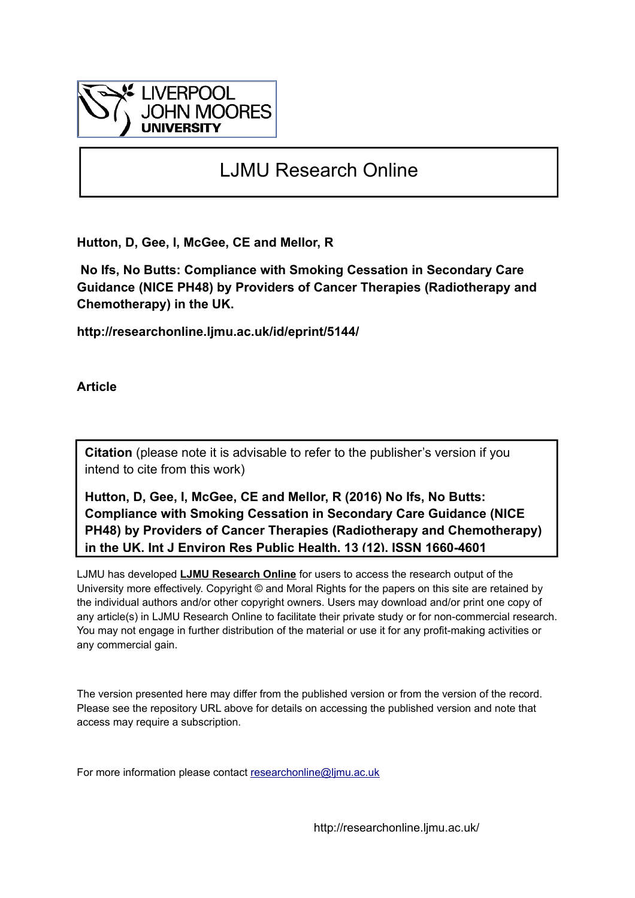

# LJMU Research Online

**Hutton, D, Gee, I, McGee, CE and Mellor, R**

 **No Ifs, No Butts: Compliance with Smoking Cessation in Secondary Care Guidance (NICE PH48) by Providers of Cancer Therapies (Radiotherapy and Chemotherapy) in the UK.**

**http://researchonline.ljmu.ac.uk/id/eprint/5144/**

**Article**

**Citation** (please note it is advisable to refer to the publisher's version if you intend to cite from this work)

**Hutton, D, Gee, I, McGee, CE and Mellor, R (2016) No Ifs, No Butts: Compliance with Smoking Cessation in Secondary Care Guidance (NICE PH48) by Providers of Cancer Therapies (Radiotherapy and Chemotherapy) in the UK. Int J Environ Res Public Health, 13 (12). ISSN 1660-4601** 

LJMU has developed **[LJMU Research Online](http://researchonline.ljmu.ac.uk/)** for users to access the research output of the University more effectively. Copyright © and Moral Rights for the papers on this site are retained by the individual authors and/or other copyright owners. Users may download and/or print one copy of any article(s) in LJMU Research Online to facilitate their private study or for non-commercial research. You may not engage in further distribution of the material or use it for any profit-making activities or any commercial gain.

The version presented here may differ from the published version or from the version of the record. Please see the repository URL above for details on accessing the published version and note that access may require a subscription.

For more information please contact researchonline@limu.ac.uk

http://researchonline.ljmu.ac.uk/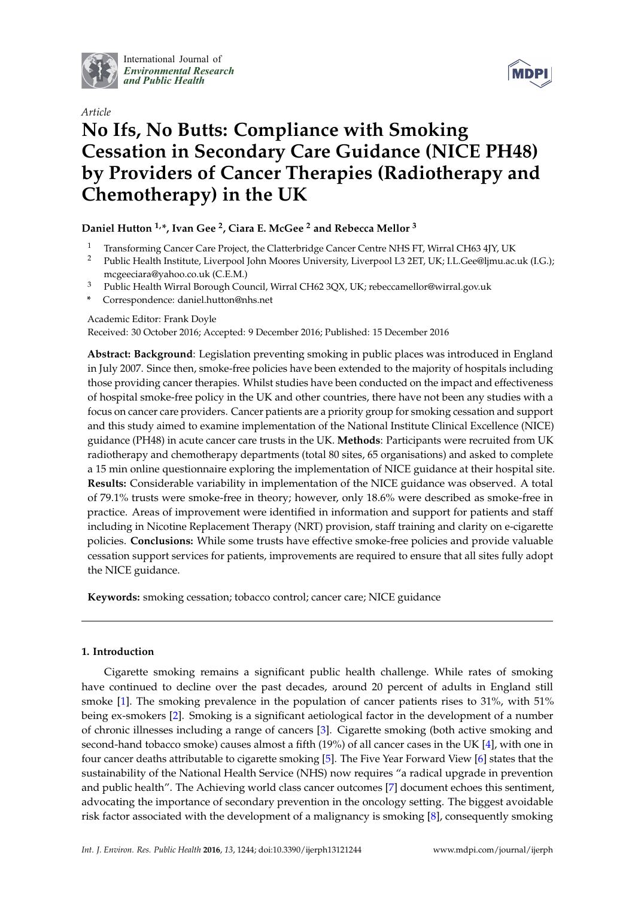

International Journal of *[Environmental Research](http://www.mdpi.com/journal/ijerph) and Public Health*



## *Article* **No Ifs, No Butts: Compliance with Smoking Cessation in Secondary Care Guidance (NICE PH48) by Providers of Cancer Therapies (Radiotherapy and Chemotherapy) in the UK**

## **Daniel Hutton 1,\*, Ivan Gee <sup>2</sup> , Ciara E. McGee <sup>2</sup> and Rebecca Mellor <sup>3</sup>**

- <sup>1</sup> Transforming Cancer Care Project, the Clatterbridge Cancer Centre NHS FT, Wirral CH63 4JY, UK
- <sup>2</sup> Public Health Institute, Liverpool John Moores University, Liverpool L3 2ET, UK; I.L.Gee@ljmu.ac.uk (I.G.); mcgeeciara@yahoo.co.uk (C.E.M.)
- <sup>3</sup> Public Health Wirral Borough Council, Wirral CH62 3QX, UK; rebeccamellor@wirral.gov.uk
- **\*** Correspondence: daniel.hutton@nhs.net

Academic Editor: Frank Doyle

Received: 30 October 2016; Accepted: 9 December 2016; Published: 15 December 2016

**Abstract: Background**: Legislation preventing smoking in public places was introduced in England in July 2007. Since then, smoke-free policies have been extended to the majority of hospitals including those providing cancer therapies. Whilst studies have been conducted on the impact and effectiveness of hospital smoke-free policy in the UK and other countries, there have not been any studies with a focus on cancer care providers. Cancer patients are a priority group for smoking cessation and support and this study aimed to examine implementation of the National Institute Clinical Excellence (NICE) guidance (PH48) in acute cancer care trusts in the UK. **Methods**: Participants were recruited from UK radiotherapy and chemotherapy departments (total 80 sites, 65 organisations) and asked to complete a 15 min online questionnaire exploring the implementation of NICE guidance at their hospital site. **Results:** Considerable variability in implementation of the NICE guidance was observed. A total of 79.1% trusts were smoke-free in theory; however, only 18.6% were described as smoke-free in practice. Areas of improvement were identified in information and support for patients and staff including in Nicotine Replacement Therapy (NRT) provision, staff training and clarity on e-cigarette policies. **Conclusions:** While some trusts have effective smoke-free policies and provide valuable cessation support services for patients, improvements are required to ensure that all sites fully adopt the NICE guidance.

**Keywords:** smoking cessation; tobacco control; cancer care; NICE guidance

## **1. Introduction**

Cigarette smoking remains a significant public health challenge. While rates of smoking have continued to decline over the past decades, around 20 percent of adults in England still smoke [\[1\]](#page-9-0). The smoking prevalence in the population of cancer patients rises to 31%, with 51% being ex-smokers [\[2\]](#page-9-1). Smoking is a significant aetiological factor in the development of a number of chronic illnesses including a range of cancers [\[3\]](#page-9-2). Cigarette smoking (both active smoking and second-hand tobacco smoke) causes almost a fifth (19%) of all cancer cases in the UK [\[4\]](#page-9-3), with one in four cancer deaths attributable to cigarette smoking [\[5\]](#page-9-4). The Five Year Forward View [\[6\]](#page-9-5) states that the sustainability of the National Health Service (NHS) now requires "a radical upgrade in prevention and public health". The Achieving world class cancer outcomes [\[7\]](#page-9-6) document echoes this sentiment, advocating the importance of secondary prevention in the oncology setting. The biggest avoidable risk factor associated with the development of a malignancy is smoking [\[8\]](#page-9-7), consequently smoking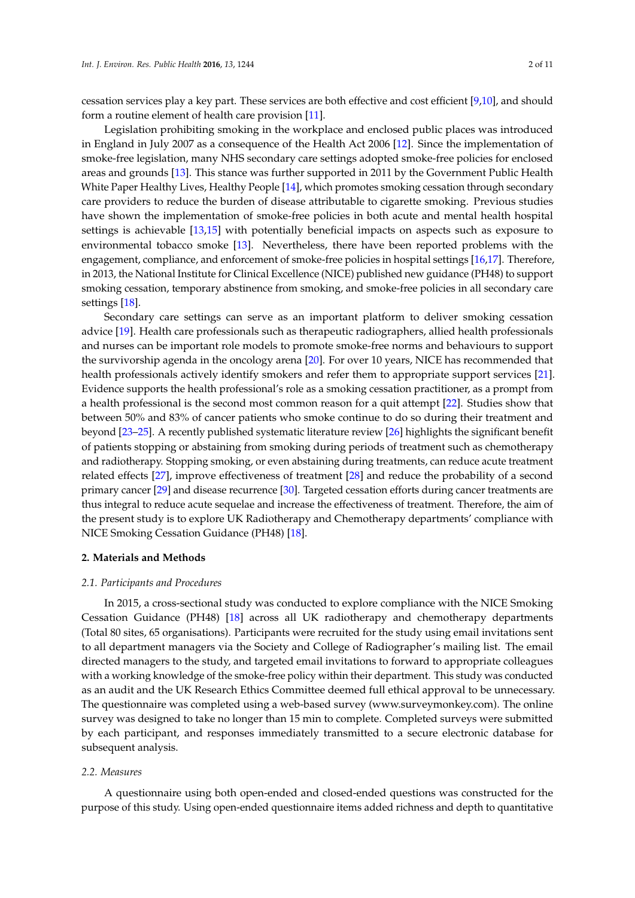cessation services play a key part. These services are both effective and cost efficient [\[9](#page-9-8)[,10\]](#page-9-9), and should form a routine element of health care provision [\[11\]](#page-9-10).

Legislation prohibiting smoking in the workplace and enclosed public places was introduced in England in July 2007 as a consequence of the Health Act 2006 [\[12\]](#page-9-11). Since the implementation of smoke-free legislation, many NHS secondary care settings adopted smoke-free policies for enclosed areas and grounds [\[13\]](#page-9-12). This stance was further supported in 2011 by the Government Public Health White Paper Healthy Lives, Healthy People [\[14\]](#page-9-13), which promotes smoking cessation through secondary care providers to reduce the burden of disease attributable to cigarette smoking. Previous studies have shown the implementation of smoke-free policies in both acute and mental health hospital settings is achievable [\[13](#page-9-12)[,15\]](#page-9-14) with potentially beneficial impacts on aspects such as exposure to environmental tobacco smoke [\[13\]](#page-9-12). Nevertheless, there have been reported problems with the engagement, compliance, and enforcement of smoke-free policies in hospital settings [\[16](#page-9-15)[,17\]](#page-9-16). Therefore, in 2013, the National Institute for Clinical Excellence (NICE) published new guidance (PH48) to support smoking cessation, temporary abstinence from smoking, and smoke-free policies in all secondary care settings [\[18\]](#page-10-0).

Secondary care settings can serve as an important platform to deliver smoking cessation advice [\[19\]](#page-10-1). Health care professionals such as therapeutic radiographers, allied health professionals and nurses can be important role models to promote smoke-free norms and behaviours to support the survivorship agenda in the oncology arena [\[20\]](#page-10-2). For over 10 years, NICE has recommended that health professionals actively identify smokers and refer them to appropriate support services [\[21\]](#page-10-3). Evidence supports the health professional's role as a smoking cessation practitioner, as a prompt from a health professional is the second most common reason for a quit attempt [\[22\]](#page-10-4). Studies show that between 50% and 83% of cancer patients who smoke continue to do so during their treatment and beyond [\[23](#page-10-5)[–25\]](#page-10-6). A recently published systematic literature review [\[26\]](#page-10-7) highlights the significant benefit of patients stopping or abstaining from smoking during periods of treatment such as chemotherapy and radiotherapy. Stopping smoking, or even abstaining during treatments, can reduce acute treatment related effects [\[27\]](#page-10-8), improve effectiveness of treatment [\[28\]](#page-10-9) and reduce the probability of a second primary cancer [\[29\]](#page-10-10) and disease recurrence [\[30\]](#page-10-11). Targeted cessation efforts during cancer treatments are thus integral to reduce acute sequelae and increase the effectiveness of treatment. Therefore, the aim of the present study is to explore UK Radiotherapy and Chemotherapy departments' compliance with NICE Smoking Cessation Guidance (PH48) [\[18\]](#page-10-0).

#### **2. Materials and Methods**

#### *2.1. Participants and Procedures*

In 2015, a cross-sectional study was conducted to explore compliance with the NICE Smoking Cessation Guidance (PH48) [\[18\]](#page-10-0) across all UK radiotherapy and chemotherapy departments (Total 80 sites, 65 organisations). Participants were recruited for the study using email invitations sent to all department managers via the Society and College of Radiographer's mailing list. The email directed managers to the study, and targeted email invitations to forward to appropriate colleagues with a working knowledge of the smoke-free policy within their department. This study was conducted as an audit and the UK Research Ethics Committee deemed full ethical approval to be unnecessary. The questionnaire was completed using a web-based survey [\(www.surveymonkey.com\)](www.surveymonkey.com). The online survey was designed to take no longer than 15 min to complete. Completed surveys were submitted by each participant, and responses immediately transmitted to a secure electronic database for subsequent analysis.

#### *2.2. Measures*

A questionnaire using both open-ended and closed-ended questions was constructed for the purpose of this study. Using open-ended questionnaire items added richness and depth to quantitative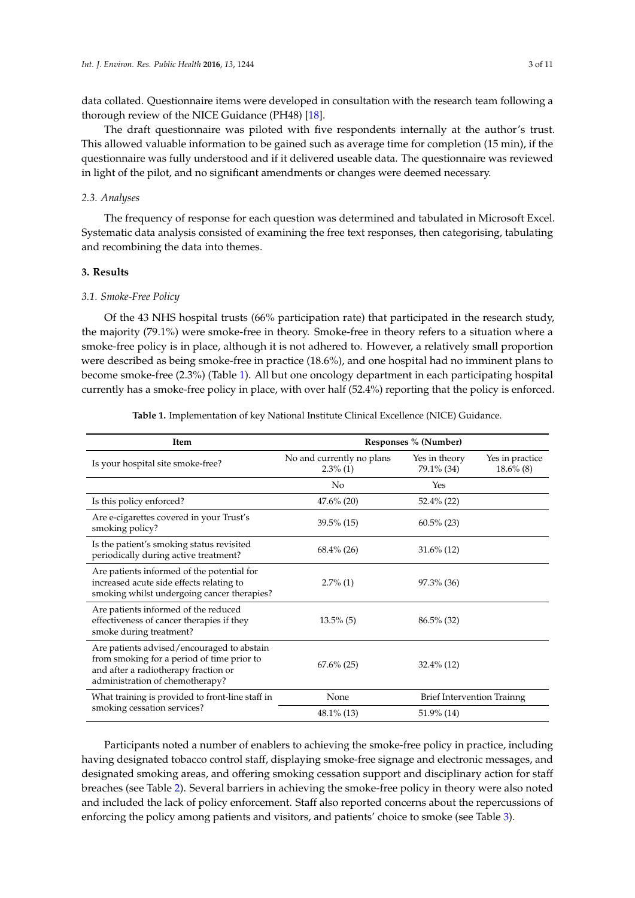data collated. Questionnaire items were developed in consultation with the research team following a thorough review of the NICE Guidance (PH48) [\[18\]](#page-10-0).

The draft questionnaire was piloted with five respondents internally at the author's trust. This allowed valuable information to be gained such as average time for completion (15 min), if the questionnaire was fully understood and if it delivered useable data. The questionnaire was reviewed in light of the pilot, and no significant amendments or changes were deemed necessary.

## *2.3. Analyses*

The frequency of response for each question was determined and tabulated in Microsoft Excel. Systematic data analysis consisted of examining the free text responses, then categorising, tabulating and recombining the data into themes.

## **3. Results**

#### *3.1. Smoke-Free Policy*

Of the 43 NHS hospital trusts (66% participation rate) that participated in the research study, the majority (79.1%) were smoke-free in theory. Smoke-free in theory refers to a situation where a smoke-free policy is in place, although it is not adhered to. However, a relatively small proportion were described as being smoke-free in practice (18.6%), and one hospital had no imminent plans to become smoke-free (2.3%) (Table [1\)](#page-3-0). All but one oncology department in each participating hospital currently has a smoke-free policy in place, with over half (52.4%) reporting that the policy is enforced.

<span id="page-3-0"></span>

| <b>Item</b>                                                                                                                                                         | Responses % (Number)                     |                                   |                                 |  |  |
|---------------------------------------------------------------------------------------------------------------------------------------------------------------------|------------------------------------------|-----------------------------------|---------------------------------|--|--|
| Is your hospital site smoke-free?                                                                                                                                   | No and currently no plans<br>$2.3\%$ (1) | Yes in theory<br>79.1% (34)       | Yes in practice<br>$18.6\%$ (8) |  |  |
|                                                                                                                                                                     | No                                       | Yes                               |                                 |  |  |
| Is this policy enforced?                                                                                                                                            | $47.6\%$ (20)                            | $52.4\%$ (22)                     |                                 |  |  |
| Are e-cigarettes covered in your Trust's<br>smoking policy?                                                                                                         | $39.5\%$ (15)                            | $60.5\%$ (23)                     |                                 |  |  |
| Is the patient's smoking status revisited<br>periodically during active treatment?                                                                                  | $68.4\%$ (26)                            | $31.6\%$ (12)                     |                                 |  |  |
| Are patients informed of the potential for<br>increased acute side effects relating to<br>smoking whilst undergoing cancer therapies?                               | $2.7\%$ (1)                              | $97.3\%$ (36)                     |                                 |  |  |
| Are patients informed of the reduced<br>effectiveness of cancer therapies if they<br>smoke during treatment?                                                        | $13.5\%$ (5)                             | $86.5\%$ (32)                     |                                 |  |  |
| Are patients advised/encouraged to abstain<br>from smoking for a period of time prior to<br>and after a radiotherapy fraction or<br>administration of chemotherapy? | $67.6\%$ (25)                            | $32.4\%$ (12)                     |                                 |  |  |
| What training is provided to front-line staff in                                                                                                                    | None                                     | <b>Brief Intervention Trainng</b> |                                 |  |  |
| smoking cessation services?                                                                                                                                         | $48.1\%$ (13)                            | $51.9\%$ (14)                     |                                 |  |  |

**Table 1.** Implementation of key National Institute Clinical Excellence (NICE) Guidance.

Participants noted a number of enablers to achieving the smoke-free policy in practice, including having designated tobacco control staff, displaying smoke-free signage and electronic messages, and designated smoking areas, and offering smoking cessation support and disciplinary action for staff breaches (see Table [2\)](#page-4-0). Several barriers in achieving the smoke-free policy in theory were also noted and included the lack of policy enforcement. Staff also reported concerns about the repercussions of enforcing the policy among patients and visitors, and patients' choice to smoke (see Table [3\)](#page-4-1).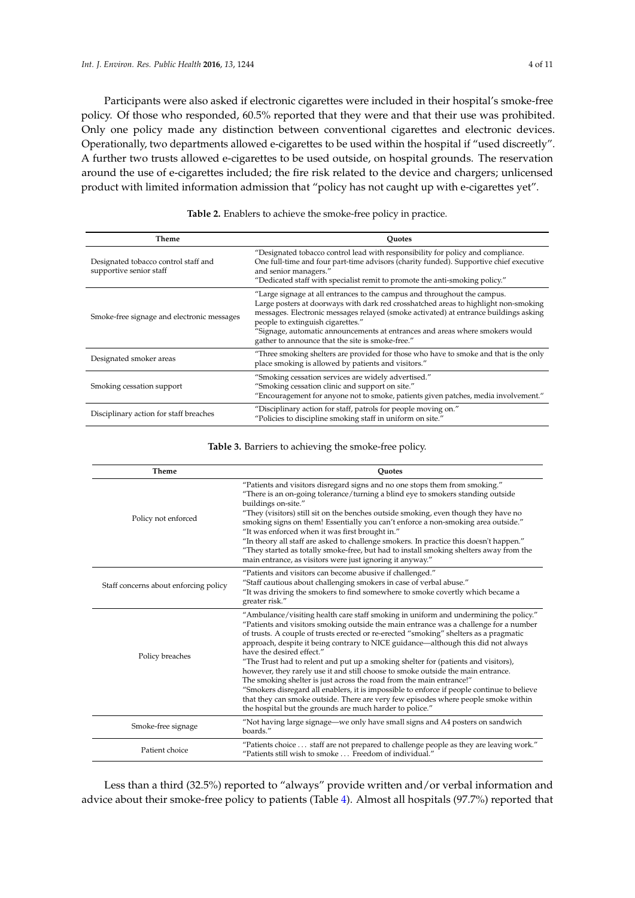Participants were also asked if electronic cigarettes were included in their hospital's smoke-free policy. Of those who responded, 60.5% reported that they were and that their use was prohibited. Only one policy made any distinction between conventional cigarettes and electronic devices. Operationally, two departments allowed e-cigarettes to be used within the hospital if "used discreetly". A further two trusts allowed e-cigarettes to be used outside, on hospital grounds. The reservation around the use of e-cigarettes included; the fire risk related to the device and chargers; unlicensed product with limited information admission that "policy has not caught up with e-cigarettes yet".

<span id="page-4-0"></span>

| Theme                                                           | Ouotes                                                                                                                                                                                                                                                                                                                                                                                                                           |  |  |
|-----------------------------------------------------------------|----------------------------------------------------------------------------------------------------------------------------------------------------------------------------------------------------------------------------------------------------------------------------------------------------------------------------------------------------------------------------------------------------------------------------------|--|--|
| Designated tobacco control staff and<br>supportive senior staff | "Designated tobacco control lead with responsibility for policy and compliance.<br>One full-time and four part-time advisors (charity funded). Supportive chief executive<br>and senior managers."<br>"Dedicated staff with specialist remit to promote the anti-smoking policy."                                                                                                                                                |  |  |
| Smoke-free signage and electronic messages                      | "Large signage at all entrances to the campus and throughout the campus.<br>Large posters at doorways with dark red crosshatched areas to highlight non-smoking<br>messages. Electronic messages relayed (smoke activated) at entrance buildings asking<br>people to extinguish cigarettes."<br>"Signage, automatic announcements at entrances and areas where smokers would<br>gather to announce that the site is smoke-free." |  |  |
| Designated smoker areas                                         | "Three smoking shelters are provided for those who have to smoke and that is the only<br>place smoking is allowed by patients and visitors."                                                                                                                                                                                                                                                                                     |  |  |
| Smoking cessation support                                       | "Smoking cessation services are widely advertised."<br>"Smoking cessation clinic and support on site."<br>"Encouragement for anyone not to smoke, patients given patches, media involvement."                                                                                                                                                                                                                                    |  |  |
| Disciplinary action for staff breaches                          | "Disciplinary action for staff, patrols for people moving on."<br>"Policies to discipline smoking staff in uniform on site."                                                                                                                                                                                                                                                                                                     |  |  |

**Table 2.** Enablers to achieve the smoke-free policy in practice.

#### **Table 3.** Barriers to achieving the smoke-free policy.

<span id="page-4-1"></span>

| Theme                                 | <b>Ouotes</b>                                                                                                                                                                                                                                                                                                                                                                                                                                                                                                                                                                                                                                                                                                                                                                                                                                                                               |
|---------------------------------------|---------------------------------------------------------------------------------------------------------------------------------------------------------------------------------------------------------------------------------------------------------------------------------------------------------------------------------------------------------------------------------------------------------------------------------------------------------------------------------------------------------------------------------------------------------------------------------------------------------------------------------------------------------------------------------------------------------------------------------------------------------------------------------------------------------------------------------------------------------------------------------------------|
| Policy not enforced                   | "Patients and visitors disregard signs and no one stops them from smoking."<br>"There is an on-going tolerance/turning a blind eye to smokers standing outside<br>buildings on-site."<br>"They (visitors) still sit on the benches outside smoking, even though they have no<br>smoking signs on them! Essentially you can't enforce a non-smoking area outside."<br>"It was enforced when it was first brought in."<br>"In theory all staff are asked to challenge smokers. In practice this doesn't happen."<br>"They started as totally smoke-free, but had to install smoking shelters away from the<br>main entrance, as visitors were just ignoring it anyway."                                                                                                                                                                                                                       |
| Staff concerns about enforcing policy | "Patients and visitors can become abusive if challenged."<br>"Staff cautious about challenging smokers in case of verbal abuse."<br>"It was driving the smokers to find somewhere to smoke covertly which became a<br>greater risk."                                                                                                                                                                                                                                                                                                                                                                                                                                                                                                                                                                                                                                                        |
| Policy breaches                       | "Ambulance/visiting health care staff smoking in uniform and undermining the policy."<br>"Patients and visitors smoking outside the main entrance was a challenge for a number<br>of trusts. A couple of trusts erected or re-erected "smoking" shelters as a pragmatic<br>approach, despite it being contrary to NICE guidance—although this did not always<br>have the desired effect."<br>"The Trust had to relent and put up a smoking shelter for (patients and visitors),<br>however, they rarely use it and still choose to smoke outside the main entrance.<br>The smoking shelter is just across the road from the main entrance!"<br>"Smokers disregard all enablers, it is impossible to enforce if people continue to believe<br>that they can smoke outside. There are very few episodes where people smoke within<br>the hospital but the grounds are much harder to police." |
| Smoke-free signage                    | "Not having large signage—we only have small signs and A4 posters on sandwich<br>boards."                                                                                                                                                                                                                                                                                                                                                                                                                                                                                                                                                                                                                                                                                                                                                                                                   |
| Patient choice                        | "Patients choice staff are not prepared to challenge people as they are leaving work."<br>"Patients still wish to smoke Freedom of individual."                                                                                                                                                                                                                                                                                                                                                                                                                                                                                                                                                                                                                                                                                                                                             |

Less than a third (32.5%) reported to "always" provide written and/or verbal information and advice about their smoke-free policy to patients (Table [4\)](#page-5-0). Almost all hospitals (97.7%) reported that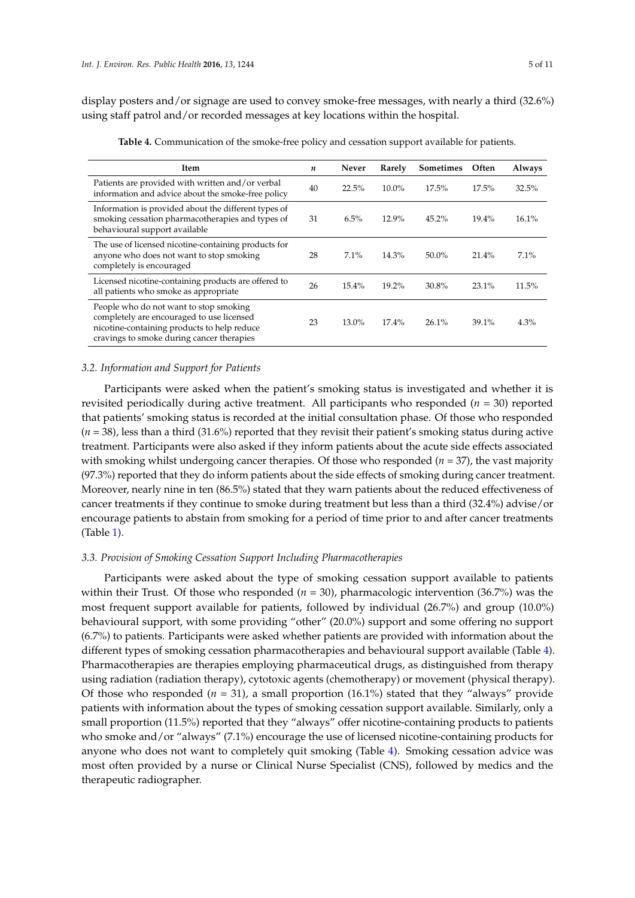display posters and/or signage are used to convey smoke-free messages, with nearly a third (32.6%) using staff patrol and/or recorded messages at key locations within the hospital.

<span id="page-5-0"></span>

| Item                                                                                                                                                                            | n  | Never   | Rarely   | <b>Sometimes</b> | Often    | Always |
|---------------------------------------------------------------------------------------------------------------------------------------------------------------------------------|----|---------|----------|------------------|----------|--------|
| Patients are provided with written and/or verbal<br>information and advice about the smoke-free policy                                                                          | 40 | 22.5%   | 10.0%    | 17.5%            | 17.5%    | 32.5%  |
| Information is provided about the different types of<br>smoking cessation pharmacotherapies and types of<br>behavioural support available                                       | 31 | 6.5%    | 12.9%    | $45.2\%$         | $19.4\%$ | 16.1%  |
| The use of licensed nicotine-containing products for<br>anyone who does not want to stop smoking<br>completely is encouraged                                                    | 28 | $7.1\%$ | 14.3%    | $50.0\%$         | 21.4%    | 7.1%   |
| Licensed nicotine-containing products are offered to<br>all patients who smoke as appropriate                                                                                   | 26 | 15.4%   | 19.2%    | 30.8%            | 23.1%    | 11.5%  |
| People who do not want to stop smoking<br>completely are encouraged to use licensed<br>nicotine-containing products to help reduce<br>cravings to smoke during cancer therapies | 23 | 13.0%   | $17.4\%$ | $26.1\%$         | 39.1%    | 4.3%   |

**Table 4.** Communication of the smoke-free policy and cessation support available for patients.

## *3.2. Information and Support for Patients*

Participants were asked when the patient's smoking status is investigated and whether it is revisited periodically during active treatment. All participants who responded (*n* = 30) reported that patients' smoking status is recorded at the initial consultation phase. Of those who responded  $(n = 38)$ , less than a third  $(31.6%)$  reported that they revisit their patient's smoking status during active treatment. Participants were also asked if they inform patients about the acute side effects associated with smoking whilst undergoing cancer therapies. Of those who responded (*n* = 37), the vast majority (97.3%) reported that they do inform patients about the side effects of smoking during cancer treatment. Moreover, nearly nine in ten (86.5%) stated that they warn patients about the reduced effectiveness of cancer treatments if they continue to smoke during treatment but less than a third (32.4%) advise/or encourage patients to abstain from smoking for a period of time prior to and after cancer treatments (Table [1\)](#page-3-0).

## *3.3. Provision of Smoking Cessation Support Including Pharmacotherapies*

Participants were asked about the type of smoking cessation support available to patients within their Trust. Of those who responded  $(n = 30)$ , pharmacologic intervention  $(36.7%)$  was the most frequent support available for patients, followed by individual (26.7%) and group (10.0%) behavioural support, with some providing "other" (20.0%) support and some offering no support (6.7%) to patients. Participants were asked whether patients are provided with information about the different types of smoking cessation pharmacotherapies and behavioural support available (Table [4\)](#page-5-0). Pharmacotherapies are therapies employing pharmaceutical drugs, as distinguished from therapy using radiation (radiation therapy), cytotoxic agents (chemotherapy) or movement (physical therapy). Of those who responded  $(n = 31)$ , a small proportion  $(16.1%)$  stated that they "always" provide patients with information about the types of smoking cessation support available. Similarly, only a small proportion (11.5%) reported that they "always" offer nicotine-containing products to patients who smoke and/or "always" (7.1%) encourage the use of licensed nicotine-containing products for anyone who does not want to completely quit smoking (Table [4\)](#page-5-0). Smoking cessation advice was most often provided by a nurse or Clinical Nurse Specialist (CNS), followed by medics and the therapeutic radiographer.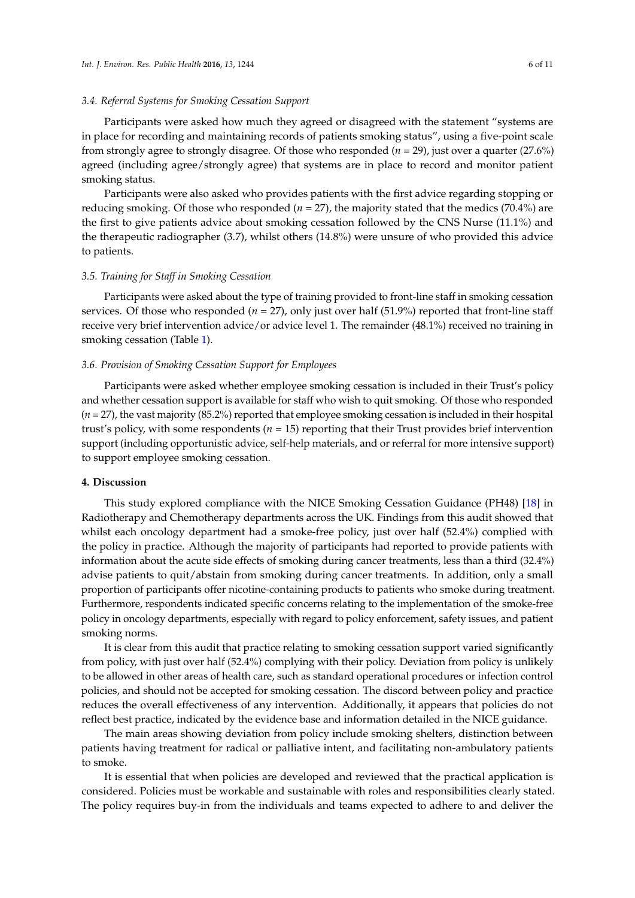## *3.4. Referral Systems for Smoking Cessation Support*

Participants were asked how much they agreed or disagreed with the statement "systems are in place for recording and maintaining records of patients smoking status", using a five-point scale from strongly agree to strongly disagree. Of those who responded (*n* = 29), just over a quarter (27.6%) agreed (including agree/strongly agree) that systems are in place to record and monitor patient smoking status.

Participants were also asked who provides patients with the first advice regarding stopping or reducing smoking. Of those who responded (*n* = 27), the majority stated that the medics (70.4%) are the first to give patients advice about smoking cessation followed by the CNS Nurse (11.1%) and the therapeutic radiographer (3.7), whilst others (14.8%) were unsure of who provided this advice to patients.

#### *3.5. Training for Staff in Smoking Cessation*

Participants were asked about the type of training provided to front-line staff in smoking cessation services. Of those who responded  $(n = 27)$ , only just over half (51.9%) reported that front-line staff receive very brief intervention advice/or advice level 1. The remainder (48.1%) received no training in smoking cessation (Table [1\)](#page-3-0).

#### *3.6. Provision of Smoking Cessation Support for Employees*

Participants were asked whether employee smoking cessation is included in their Trust's policy and whether cessation support is available for staff who wish to quit smoking. Of those who responded (*n* = 27), the vast majority (85.2%) reported that employee smoking cessation is included in their hospital trust's policy, with some respondents (*n* = 15) reporting that their Trust provides brief intervention support (including opportunistic advice, self-help materials, and or referral for more intensive support) to support employee smoking cessation.

## **4. Discussion**

This study explored compliance with the NICE Smoking Cessation Guidance (PH48) [\[18\]](#page-10-0) in Radiotherapy and Chemotherapy departments across the UK. Findings from this audit showed that whilst each oncology department had a smoke-free policy, just over half (52.4%) complied with the policy in practice. Although the majority of participants had reported to provide patients with information about the acute side effects of smoking during cancer treatments, less than a third (32.4%) advise patients to quit/abstain from smoking during cancer treatments. In addition, only a small proportion of participants offer nicotine-containing products to patients who smoke during treatment. Furthermore, respondents indicated specific concerns relating to the implementation of the smoke-free policy in oncology departments, especially with regard to policy enforcement, safety issues, and patient smoking norms.

It is clear from this audit that practice relating to smoking cessation support varied significantly from policy, with just over half (52.4%) complying with their policy. Deviation from policy is unlikely to be allowed in other areas of health care, such as standard operational procedures or infection control policies, and should not be accepted for smoking cessation. The discord between policy and practice reduces the overall effectiveness of any intervention. Additionally, it appears that policies do not reflect best practice, indicated by the evidence base and information detailed in the NICE guidance.

The main areas showing deviation from policy include smoking shelters, distinction between patients having treatment for radical or palliative intent, and facilitating non-ambulatory patients to smoke.

It is essential that when policies are developed and reviewed that the practical application is considered. Policies must be workable and sustainable with roles and responsibilities clearly stated. The policy requires buy-in from the individuals and teams expected to adhere to and deliver the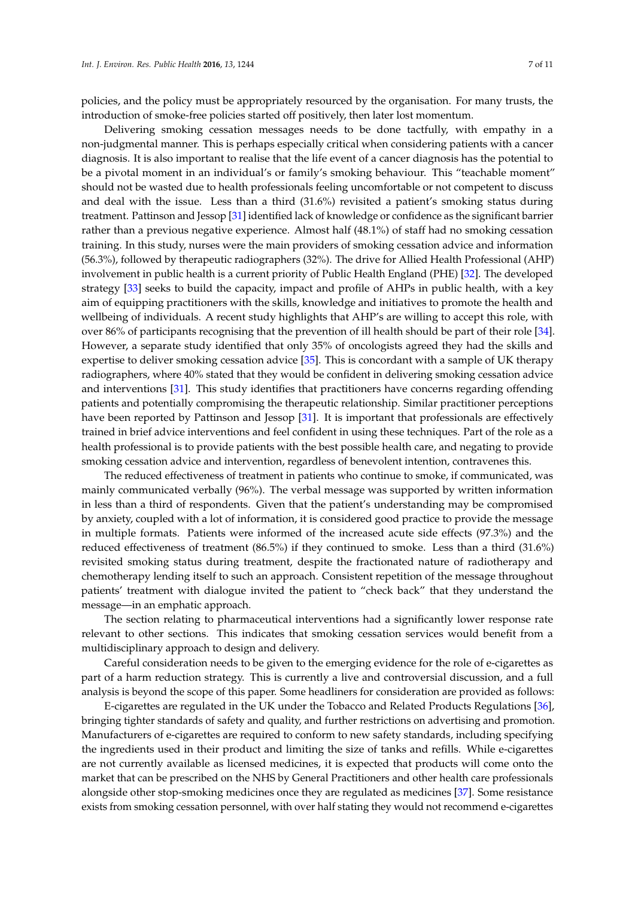policies, and the policy must be appropriately resourced by the organisation. For many trusts, the introduction of smoke-free policies started off positively, then later lost momentum.

Delivering smoking cessation messages needs to be done tactfully, with empathy in a non-judgmental manner. This is perhaps especially critical when considering patients with a cancer diagnosis. It is also important to realise that the life event of a cancer diagnosis has the potential to be a pivotal moment in an individual's or family's smoking behaviour. This "teachable moment" should not be wasted due to health professionals feeling uncomfortable or not competent to discuss and deal with the issue. Less than a third (31.6%) revisited a patient's smoking status during treatment. Pattinson and Jessop [\[31\]](#page-10-12) identified lack of knowledge or confidence as the significant barrier rather than a previous negative experience. Almost half (48.1%) of staff had no smoking cessation training. In this study, nurses were the main providers of smoking cessation advice and information (56.3%), followed by therapeutic radiographers (32%). The drive for Allied Health Professional (AHP) involvement in public health is a current priority of Public Health England (PHE) [\[32\]](#page-10-13). The developed strategy [\[33\]](#page-10-14) seeks to build the capacity, impact and profile of AHPs in public health, with a key aim of equipping practitioners with the skills, knowledge and initiatives to promote the health and wellbeing of individuals. A recent study highlights that AHP's are willing to accept this role, with over 86% of participants recognising that the prevention of ill health should be part of their role [\[34\]](#page-10-15). However, a separate study identified that only 35% of oncologists agreed they had the skills and expertise to deliver smoking cessation advice [\[35\]](#page-10-16). This is concordant with a sample of UK therapy radiographers, where 40% stated that they would be confident in delivering smoking cessation advice and interventions [\[31\]](#page-10-12). This study identifies that practitioners have concerns regarding offending patients and potentially compromising the therapeutic relationship. Similar practitioner perceptions have been reported by Pattinson and Jessop [\[31\]](#page-10-12). It is important that professionals are effectively trained in brief advice interventions and feel confident in using these techniques. Part of the role as a health professional is to provide patients with the best possible health care, and negating to provide smoking cessation advice and intervention, regardless of benevolent intention, contravenes this.

The reduced effectiveness of treatment in patients who continue to smoke, if communicated, was mainly communicated verbally (96%). The verbal message was supported by written information in less than a third of respondents. Given that the patient's understanding may be compromised by anxiety, coupled with a lot of information, it is considered good practice to provide the message in multiple formats. Patients were informed of the increased acute side effects (97.3%) and the reduced effectiveness of treatment (86.5%) if they continued to smoke. Less than a third (31.6%) revisited smoking status during treatment, despite the fractionated nature of radiotherapy and chemotherapy lending itself to such an approach. Consistent repetition of the message throughout patients' treatment with dialogue invited the patient to "check back" that they understand the message—in an emphatic approach.

The section relating to pharmaceutical interventions had a significantly lower response rate relevant to other sections. This indicates that smoking cessation services would benefit from a multidisciplinary approach to design and delivery.

Careful consideration needs to be given to the emerging evidence for the role of e-cigarettes as part of a harm reduction strategy. This is currently a live and controversial discussion, and a full analysis is beyond the scope of this paper. Some headliners for consideration are provided as follows:

E-cigarettes are regulated in the UK under the Tobacco and Related Products Regulations [\[36\]](#page-10-17), bringing tighter standards of safety and quality, and further restrictions on advertising and promotion. Manufacturers of e-cigarettes are required to conform to new safety standards, including specifying the ingredients used in their product and limiting the size of tanks and refills. While e-cigarettes are not currently available as licensed medicines, it is expected that products will come onto the market that can be prescribed on the NHS by General Practitioners and other health care professionals alongside other stop-smoking medicines once they are regulated as medicines [\[37\]](#page-10-18). Some resistance exists from smoking cessation personnel, with over half stating they would not recommend e-cigarettes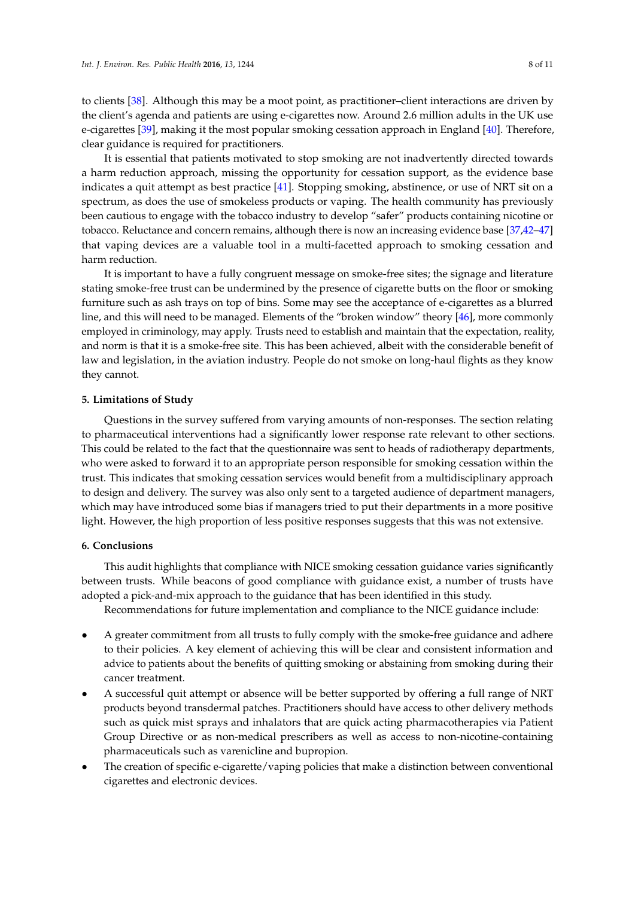to clients [\[38\]](#page-11-0). Although this may be a moot point, as practitioner–client interactions are driven by the client's agenda and patients are using e-cigarettes now. Around 2.6 million adults in the UK use e-cigarettes [\[39\]](#page-11-1), making it the most popular smoking cessation approach in England [\[40\]](#page-11-2). Therefore, clear guidance is required for practitioners.

It is essential that patients motivated to stop smoking are not inadvertently directed towards a harm reduction approach, missing the opportunity for cessation support, as the evidence base indicates a quit attempt as best practice [\[41\]](#page-11-3). Stopping smoking, abstinence, or use of NRT sit on a spectrum, as does the use of smokeless products or vaping. The health community has previously been cautious to engage with the tobacco industry to develop "safer" products containing nicotine or tobacco. Reluctance and concern remains, although there is now an increasing evidence base [\[37,](#page-10-18)[42](#page-11-4)[–47\]](#page-11-5) that vaping devices are a valuable tool in a multi-facetted approach to smoking cessation and harm reduction.

It is important to have a fully congruent message on smoke-free sites; the signage and literature stating smoke-free trust can be undermined by the presence of cigarette butts on the floor or smoking furniture such as ash trays on top of bins. Some may see the acceptance of e-cigarettes as a blurred line, and this will need to be managed. Elements of the "broken window" theory [\[46\]](#page-11-6), more commonly employed in criminology, may apply. Trusts need to establish and maintain that the expectation, reality, and norm is that it is a smoke-free site. This has been achieved, albeit with the considerable benefit of law and legislation, in the aviation industry. People do not smoke on long-haul flights as they know they cannot.

## **5. Limitations of Study**

Questions in the survey suffered from varying amounts of non-responses. The section relating to pharmaceutical interventions had a significantly lower response rate relevant to other sections. This could be related to the fact that the questionnaire was sent to heads of radiotherapy departments, who were asked to forward it to an appropriate person responsible for smoking cessation within the trust. This indicates that smoking cessation services would benefit from a multidisciplinary approach to design and delivery. The survey was also only sent to a targeted audience of department managers, which may have introduced some bias if managers tried to put their departments in a more positive light. However, the high proportion of less positive responses suggests that this was not extensive.

## **6. Conclusions**

This audit highlights that compliance with NICE smoking cessation guidance varies significantly between trusts. While beacons of good compliance with guidance exist, a number of trusts have adopted a pick-and-mix approach to the guidance that has been identified in this study.

Recommendations for future implementation and compliance to the NICE guidance include:

- A greater commitment from all trusts to fully comply with the smoke-free guidance and adhere to their policies. A key element of achieving this will be clear and consistent information and advice to patients about the benefits of quitting smoking or abstaining from smoking during their cancer treatment.
- A successful quit attempt or absence will be better supported by offering a full range of NRT products beyond transdermal patches. Practitioners should have access to other delivery methods such as quick mist sprays and inhalators that are quick acting pharmacotherapies via Patient Group Directive or as non-medical prescribers as well as access to non-nicotine-containing pharmaceuticals such as varenicline and bupropion.
- The creation of specific e-cigarette/vaping policies that make a distinction between conventional cigarettes and electronic devices.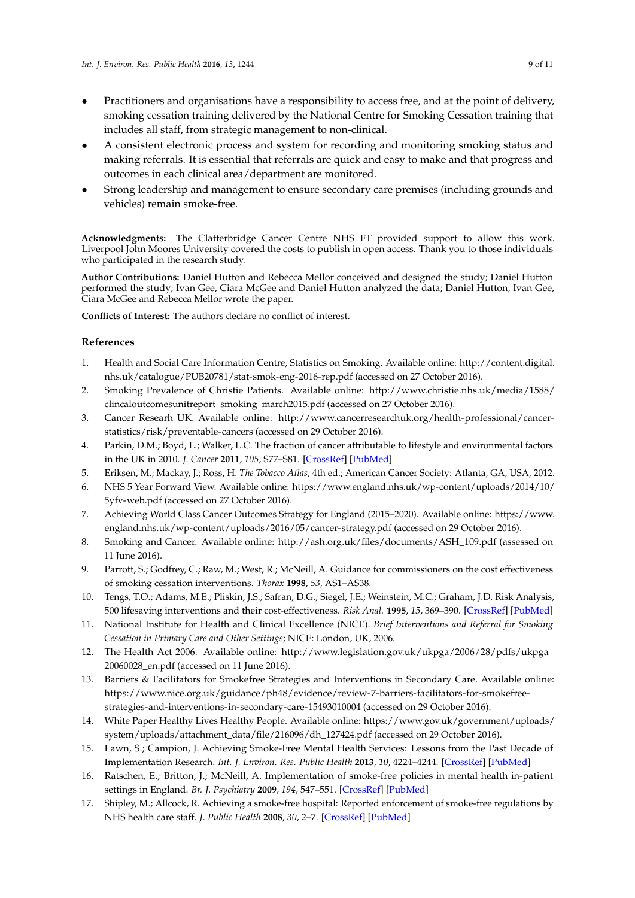- Practitioners and organisations have a responsibility to access free, and at the point of delivery, smoking cessation training delivered by the National Centre for Smoking Cessation training that includes all staff, from strategic management to non-clinical.
- A consistent electronic process and system for recording and monitoring smoking status and making referrals. It is essential that referrals are quick and easy to make and that progress and outcomes in each clinical area/department are monitored.
- Strong leadership and management to ensure secondary care premises (including grounds and vehicles) remain smoke-free.

**Acknowledgments:** The Clatterbridge Cancer Centre NHS FT provided support to allow this work. Liverpool John Moores University covered the costs to publish in open access. Thank you to those individuals who participated in the research study.

**Author Contributions:** Daniel Hutton and Rebecca Mellor conceived and designed the study; Daniel Hutton performed the study; Ivan Gee, Ciara McGee and Daniel Hutton analyzed the data; Daniel Hutton, Ivan Gee, Ciara McGee and Rebecca Mellor wrote the paper.

**Conflicts of Interest:** The authors declare no conflict of interest.

## **References**

- <span id="page-9-0"></span>1. Health and Social Care Information Centre, Statistics on Smoking. Available online: [http://content.digital.](http://content.digital.nhs.uk/catalogue/PUB20781/stat-smok-eng-2016-rep.pdf) [nhs.uk/catalogue/PUB20781/stat-smok-eng-2016-rep.pdf](http://content.digital.nhs.uk/catalogue/PUB20781/stat-smok-eng-2016-rep.pdf) (accessed on 27 October 2016).
- <span id="page-9-1"></span>2. Smoking Prevalence of Christie Patients. Available online: [http://www.christie.nhs.uk/media/1588/](http://www.christie.nhs.uk/media/1588/clincaloutcomesunitreport_smoking_march2015.pdf) [clincaloutcomesunitreport\\_smoking\\_march2015.pdf](http://www.christie.nhs.uk/media/1588/clincaloutcomesunitreport_smoking_march2015.pdf) (accessed on 27 October 2016).
- <span id="page-9-2"></span>3. Cancer Researh UK. Available online: [http://www.cancerresearchuk.org/health-professional/cancer](http://www.cancerresearchuk.org/health-professional/cancer-statistics/risk/preventable-cancers)[statistics/risk/preventable-cancers](http://www.cancerresearchuk.org/health-professional/cancer-statistics/risk/preventable-cancers) (accessed on 29 October 2016).
- <span id="page-9-3"></span>4. Parkin, D.M.; Boyd, L.; Walker, L.C. The fraction of cancer attributable to lifestyle and environmental factors in the UK in 2010. *J. Cancer* **2011**, *105*, S77–S81. [\[CrossRef\]](http://dx.doi.org/10.1038/bjc.2011.489) [\[PubMed\]](http://www.ncbi.nlm.nih.gov/pubmed/22158327)
- <span id="page-9-4"></span>5. Eriksen, M.; Mackay, J.; Ross, H. *The Tobacco Atlas*, 4th ed.; American Cancer Society: Atlanta, GA, USA, 2012.
- <span id="page-9-5"></span>6. NHS 5 Year Forward View. Available online: [https://www.england.nhs.uk/wp-content/uploads/2014/10/](https://www.england.nhs.uk/wp-content/uploads/2014/10/5yfv-web.pdf) [5yfv-web.pdf](https://www.england.nhs.uk/wp-content/uploads/2014/10/5yfv-web.pdf) (accessed on 27 October 2016).
- <span id="page-9-6"></span>7. Achieving World Class Cancer Outcomes Strategy for England (2015–2020). Available online: [https://www.](https://www.england.nhs.uk/wp-content/uploads/2016/05/cancer-strategy.pdf) [england.nhs.uk/wp-content/uploads/2016/05/cancer-strategy.pdf](https://www.england.nhs.uk/wp-content/uploads/2016/05/cancer-strategy.pdf) (accessed on 29 October 2016).
- <span id="page-9-7"></span>8. Smoking and Cancer. Available online: [http://ash.org.uk/files/documents/ASH\\_109.pdf](http://ash.org.uk/files/documents/ASH_109.pdf) (assessed on 11 June 2016).
- <span id="page-9-8"></span>9. Parrott, S.; Godfrey, C.; Raw, M.; West, R.; McNeill, A. Guidance for commissioners on the cost effectiveness of smoking cessation interventions. *Thorax* **1998**, *53*, AS1–AS38.
- <span id="page-9-9"></span>10. Tengs, T.O.; Adams, M.E.; Pliskin, J.S.; Safran, D.G.; Siegel, J.E.; Weinstein, M.C.; Graham, J.D. Risk Analysis, 500 lifesaving interventions and their cost-effectiveness. *Risk Anal.* **1995**, *15*, 369–390. [\[CrossRef\]](http://dx.doi.org/10.1111/j.1539-6924.1995.tb00330.x) [\[PubMed\]](http://www.ncbi.nlm.nih.gov/pubmed/7604170)
- <span id="page-9-10"></span>11. National Institute for Health and Clinical Excellence (NICE). *Brief Interventions and Referral for Smoking Cessation in Primary Care and Other Settings*; NICE: London, UK, 2006.
- <span id="page-9-11"></span>12. The Health Act 2006. Available online: [http://www.legislation.gov.uk/ukpga/2006/28/pdfs/ukpga\\_](http://www.legislation.gov.uk/ukpga/2006/28/pdfs/ukpga_20060028_en.pdf) [20060028\\_en.pdf](http://www.legislation.gov.uk/ukpga/2006/28/pdfs/ukpga_20060028_en.pdf) (accessed on 11 June 2016).
- <span id="page-9-12"></span>13. Barriers & Facilitators for Smokefree Strategies and Interventions in Secondary Care. Available online: [https://www.nice.org.uk/guidance/ph48/evidence/review-7-barriers-facilitators-for-smokefree](https://www.nice.org.uk/guidance/ph48/evidence/review-7-barriers-facilitators-for-smokefree-strategies-and-interventions-in-secondary-care-15493010004)[strategies-and-interventions-in-secondary-care-15493010004](https://www.nice.org.uk/guidance/ph48/evidence/review-7-barriers-facilitators-for-smokefree-strategies-and-interventions-in-secondary-care-15493010004) (accessed on 29 October 2016).
- <span id="page-9-13"></span>14. White Paper Healthy Lives Healthy People. Available online: [https://www.gov.uk/government/uploads/](https://www.gov.uk/government/uploads/system/uploads/attachment_data/file/216096/dh_127424.pdf) [system/uploads/attachment\\_data/file/216096/dh\\_127424.pdf](https://www.gov.uk/government/uploads/system/uploads/attachment_data/file/216096/dh_127424.pdf) (accessed on 29 October 2016).
- <span id="page-9-14"></span>15. Lawn, S.; Campion, J. Achieving Smoke-Free Mental Health Services: Lessons from the Past Decade of Implementation Research. *Int. J. Environ. Res. Public Health* **2013**, *10*, 4224–4244. [\[CrossRef\]](http://dx.doi.org/10.3390/ijerph10094224) [\[PubMed\]](http://www.ncbi.nlm.nih.gov/pubmed/24025397)
- <span id="page-9-15"></span>16. Ratschen, E.; Britton, J.; McNeill, A. Implementation of smoke-free policies in mental health in-patient settings in England. *Br. J. Psychiatry* **2009**, *194*, 547–551. [\[CrossRef\]](http://dx.doi.org/10.1192/bjp.bp.108.051052) [\[PubMed\]](http://www.ncbi.nlm.nih.gov/pubmed/19478296)
- <span id="page-9-16"></span>17. Shipley, M.; Allcock, R. Achieving a smoke-free hospital: Reported enforcement of smoke-free regulations by NHS health care staff. *J. Public Health* **2008**, *30*, 2–7. [\[CrossRef\]](http://dx.doi.org/10.1093/pubmed/fdn004) [\[PubMed\]](http://www.ncbi.nlm.nih.gov/pubmed/18292178)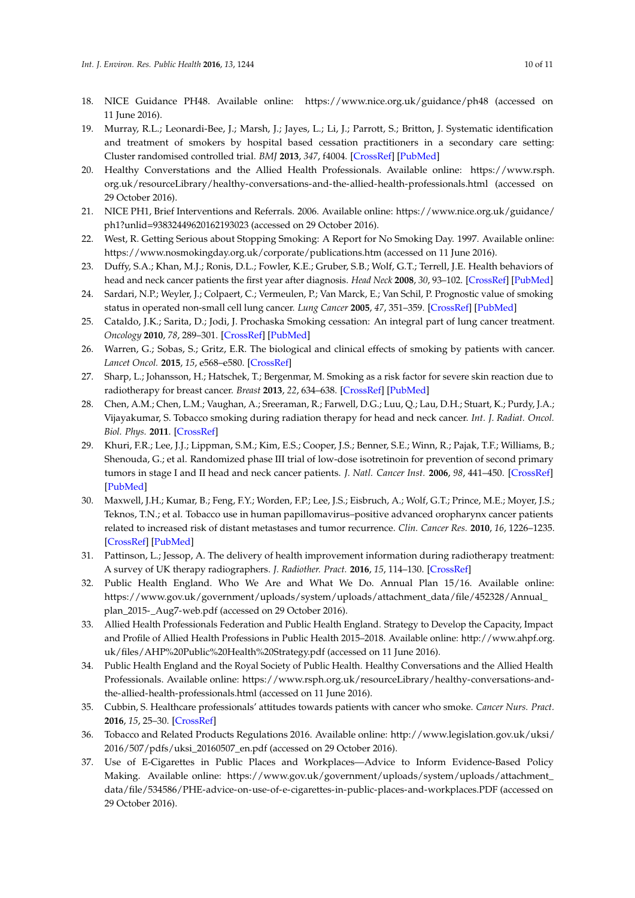- <span id="page-10-0"></span>18. NICE Guidance PH48. Available online: <https://www.nice.org.uk/guidance/ph48> (accessed on 11 June 2016).
- <span id="page-10-1"></span>19. Murray, R.L.; Leonardi-Bee, J.; Marsh, J.; Jayes, L.; Li, J.; Parrott, S.; Britton, J. Systematic identification and treatment of smokers by hospital based cessation practitioners in a secondary care setting: Cluster randomised controlled trial. *BMJ* **2013**, *347*, f4004. [\[CrossRef\]](http://dx.doi.org/10.1136/bmj.f4004) [\[PubMed\]](http://www.ncbi.nlm.nih.gov/pubmed/23836616)
- <span id="page-10-2"></span>20. Healthy Converstations and the Allied Health Professionals. Available online: [https://www.rsph.](https://www.rsph.org.uk/resourceLibrary/healthy-conversations-and-the-allied-health-professionals.html) [org.uk/resourceLibrary/healthy-conversations-and-the-allied-health-professionals.html](https://www.rsph.org.uk/resourceLibrary/healthy-conversations-and-the-allied-health-professionals.html) (accessed on 29 October 2016).
- <span id="page-10-3"></span>21. NICE PH1, Brief Interventions and Referrals. 2006. Available online: [https://www.nice.org.uk/guidance/](https://www.nice.org.uk/guidance/ph1?unlid=93832449620162193023) [ph1?unlid=93832449620162193023](https://www.nice.org.uk/guidance/ph1?unlid=93832449620162193023) (accessed on 29 October 2016).
- <span id="page-10-4"></span>22. West, R. Getting Serious about Stopping Smoking: A Report for No Smoking Day. 1997. Available online: <https://www.nosmokingday.org.uk/corporate/publications.htm> (accessed on 11 June 2016).
- <span id="page-10-5"></span>23. Duffy, S.A.; Khan, M.J.; Ronis, D.L.; Fowler, K.E.; Gruber, S.B.; Wolf, G.T.; Terrell, J.E. Health behaviors of head and neck cancer patients the first year after diagnosis. *Head Neck* **2008**, *30*, 93–102. [\[CrossRef\]](http://dx.doi.org/10.1002/hed.20665) [\[PubMed\]](http://www.ncbi.nlm.nih.gov/pubmed/17685451)
- 24. Sardari, N.P.; Weyler, J.; Colpaert, C.; Vermeulen, P.; Van Marck, E.; Van Schil, P. Prognostic value of smoking status in operated non-small cell lung cancer. *Lung Cancer* **2005**, *47*, 351–359. [\[CrossRef\]](http://dx.doi.org/10.1016/j.lungcan.2004.08.011) [\[PubMed\]](http://www.ncbi.nlm.nih.gov/pubmed/15713518)
- <span id="page-10-6"></span>25. Cataldo, J.K.; Sarita, D.; Jodi, J. Prochaska Smoking cessation: An integral part of lung cancer treatment. *Oncology* **2010**, *78*, 289–301. [\[CrossRef\]](http://dx.doi.org/10.1159/000319937) [\[PubMed\]](http://www.ncbi.nlm.nih.gov/pubmed/20699622)
- <span id="page-10-7"></span>26. Warren, G.; Sobas, S.; Gritz, E.R. The biological and clinical effects of smoking by patients with cancer. *Lancet Oncol.* **2015**, *15*, e568–e580. [\[CrossRef\]](http://dx.doi.org/10.1016/S1470-2045(14)70266-9)
- <span id="page-10-8"></span>27. Sharp, L.; Johansson, H.; Hatschek, T.; Bergenmar, M. Smoking as a risk factor for severe skin reaction due to radiotherapy for breast cancer. *Breast* **2013**, *22*, 634–638. [\[CrossRef\]](http://dx.doi.org/10.1016/j.breast.2013.07.047) [\[PubMed\]](http://www.ncbi.nlm.nih.gov/pubmed/23953136)
- <span id="page-10-9"></span>28. Chen, A.M.; Chen, L.M.; Vaughan, A.; Sreeraman, R.; Farwell, D.G.; Luu, Q.; Lau, D.H.; Stuart, K.; Purdy, J.A.; Vijayakumar, S. Tobacco smoking during radiation therapy for head and neck cancer. *Int. J. Radiat. Oncol. Biol. Phys.* **2011**. [\[CrossRef\]](http://dx.doi.org/10.1016/j.ijrobp.2009.10.050)
- <span id="page-10-10"></span>29. Khuri, F.R.; Lee, J.J.; Lippman, S.M.; Kim, E.S.; Cooper, J.S.; Benner, S.E.; Winn, R.; Pajak, T.F.; Williams, B.; Shenouda, G.; et al. Randomized phase III trial of low-dose isotretinoin for prevention of second primary tumors in stage I and II head and neck cancer patients. *J. Natl. Cancer Inst.* **2006**, *98*, 441–450. [\[CrossRef\]](http://dx.doi.org/10.1093/jnci/djj091) [\[PubMed\]](http://www.ncbi.nlm.nih.gov/pubmed/16595780)
- <span id="page-10-11"></span>30. Maxwell, J.H.; Kumar, B.; Feng, F.Y.; Worden, F.P.; Lee, J.S.; Eisbruch, A.; Wolf, G.T.; Prince, M.E.; Moyer, J.S.; Teknos, T.N.; et al. Tobacco use in human papillomavirus–positive advanced oropharynx cancer patients related to increased risk of distant metastases and tumor recurrence. *Clin. Cancer Res.* **2010**, *16*, 1226–1235. [\[CrossRef\]](http://dx.doi.org/10.1158/1078-0432.CCR-09-2350) [\[PubMed\]](http://www.ncbi.nlm.nih.gov/pubmed/20145161)
- <span id="page-10-12"></span>31. Pattinson, L.; Jessop, A. The delivery of health improvement information during radiotherapy treatment: A survey of UK therapy radiographers. *J. Radiother. Pract.* **2016**, *15*, 114–130. [\[CrossRef\]](http://dx.doi.org/10.1017/S146039691600011X)
- <span id="page-10-13"></span>32. Public Health England. Who We Are and What We Do. Annual Plan 15/16. Available online: [https://www.gov.uk/government/uploads/system/uploads/attachment\\_data/file/452328/Annual\\_](https://www.gov.uk/government/uploads/system/uploads/attachment_data/file/452328/Annual_plan_2015-_Aug7-web.pdf) [plan\\_2015-\\_Aug7-web.pdf](https://www.gov.uk/government/uploads/system/uploads/attachment_data/file/452328/Annual_plan_2015-_Aug7-web.pdf) (accessed on 29 October 2016).
- <span id="page-10-14"></span>33. Allied Health Professionals Federation and Public Health England. Strategy to Develop the Capacity, Impact and Profile of Allied Health Professions in Public Health 2015–2018. Available online: [http://www.ahpf.org.](http://www.ahpf.org.uk/files/AHP%20Public%20Health%20Strategy.pdf) [uk/files/AHP%20Public%20Health%20Strategy.pdf](http://www.ahpf.org.uk/files/AHP%20Public%20Health%20Strategy.pdf) (accessed on 11 June 2016).
- <span id="page-10-15"></span>34. Public Health England and the Royal Society of Public Health. Healthy Conversations and the Allied Health Professionals. Available online: [https://www.rsph.org.uk/resourceLibrary/healthy-conversations-and](https://www.rsph.org.uk/resourceLibrary/healthy-conversations-and-the-allied-health-professionals.html)[the-allied-health-professionals.html](https://www.rsph.org.uk/resourceLibrary/healthy-conversations-and-the-allied-health-professionals.html) (accessed on 11 June 2016).
- <span id="page-10-16"></span>35. Cubbin, S. Healthcare professionals' attitudes towards patients with cancer who smoke. *Cancer Nurs. Pract.* **2016**, *15*, 25–30. [\[CrossRef\]](http://dx.doi.org/10.7748/cnp.2016.e1323)
- <span id="page-10-17"></span>36. Tobacco and Related Products Regulations 2016. Available online: [http://www.legislation.gov.uk/uksi/](http://www.legislation.gov.uk/uksi/2016/507/pdfs/uksi_20160507_en.pdf) [2016/507/pdfs/uksi\\_20160507\\_en.pdf](http://www.legislation.gov.uk/uksi/2016/507/pdfs/uksi_20160507_en.pdf) (accessed on 29 October 2016).
- <span id="page-10-18"></span>37. Use of E-Cigarettes in Public Places and Workplaces—Advice to Inform Evidence-Based Policy Making. Available online: [https://www.gov.uk/government/uploads/system/uploads/attachment\\_](https://www.gov.uk/government/uploads/system/uploads/attachment_data/file/534586/PHE-advice-on-use-of-e-cigarettes-in-public-places-and-workplaces.PDF) [data/file/534586/PHE-advice-on-use-of-e-cigarettes-in-public-places-and-workplaces.PDF](https://www.gov.uk/government/uploads/system/uploads/attachment_data/file/534586/PHE-advice-on-use-of-e-cigarettes-in-public-places-and-workplaces.PDF) (accessed on 29 October 2016).